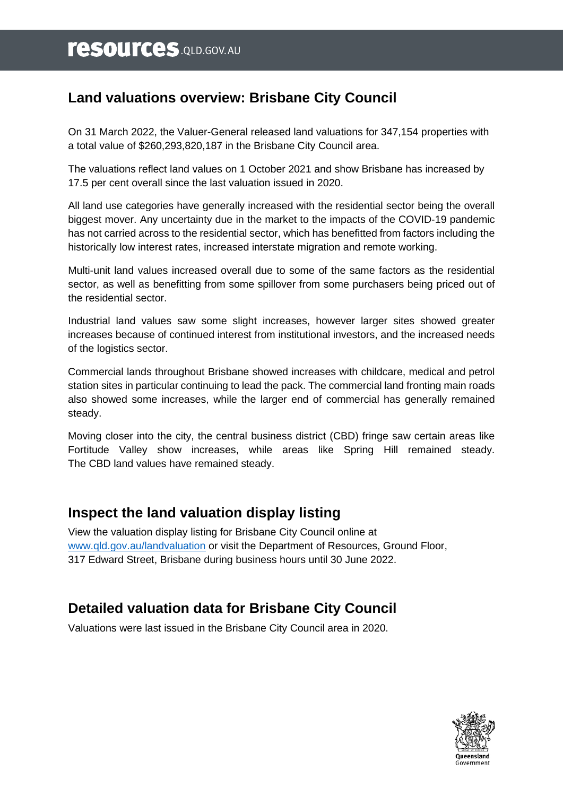# **Land valuations overview: Brisbane City Council**

On 31 March 2022, the Valuer-General released land valuations for 347,154 properties with a total value of \$260,293,820,187 in the Brisbane City Council area.

The valuations reflect land values on 1 October 2021 and show Brisbane has increased by 17.5 per cent overall since the last valuation issued in 2020.

All land use categories have generally increased with the residential sector being the overall biggest mover. Any uncertainty due in the market to the impacts of the COVID-19 pandemic has not carried across to the residential sector, which has benefitted from factors including the historically low interest rates, increased interstate migration and remote working.

Multi-unit land values increased overall due to some of the same factors as the residential sector, as well as benefitting from some spillover from some purchasers being priced out of the residential sector.

Industrial land values saw some slight increases, however larger sites showed greater increases because of continued interest from institutional investors, and the increased needs of the logistics sector.

Commercial lands throughout Brisbane showed increases with childcare, medical and petrol station sites in particular continuing to lead the pack. The commercial land fronting main roads also showed some increases, while the larger end of commercial has generally remained steady.

Moving closer into the city, the central business district (CBD) fringe saw certain areas like Fortitude Valley show increases, while areas like Spring Hill remained steady. The CBD land values have remained steady.

## **Inspect the land valuation display listing**

View the valuation display listing for Brisbane City Council online at [www.qld.gov.au/landvaluation](http://www.qld.gov.au/landvaluation) or visit the Department of Resources, Ground Floor, 317 Edward Street, Brisbane during business hours until 30 June 2022.

# **Detailed valuation data for Brisbane City Council**

Valuations were last issued in the Brisbane City Council area in 2020.

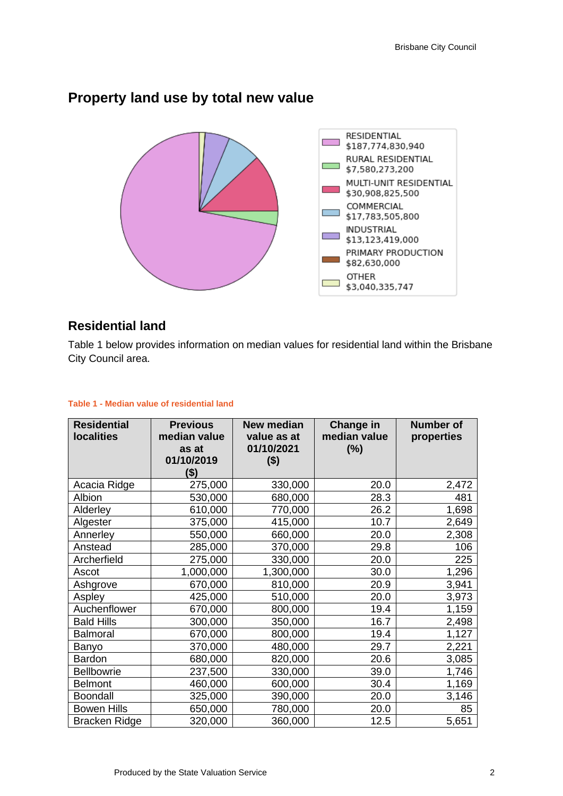

## **Property land use by total new value**

### **Residential land**

Table 1 below provides information on median values for residential land within the Brisbane City Council area.

| <b>Residential</b><br><b>localities</b> | <b>Previous</b><br>median value<br>as at<br>01/10/2019<br>\$) | <b>New median</b><br>value as at<br>01/10/2021<br>$($ \$) | <b>Change in</b><br>median value<br>(%) | <b>Number of</b><br>properties |
|-----------------------------------------|---------------------------------------------------------------|-----------------------------------------------------------|-----------------------------------------|--------------------------------|
| Acacia Ridge                            | 275,000                                                       | 330,000                                                   | 20.0                                    | 2,472                          |
| Albion                                  | 530,000                                                       | 680,000                                                   | 28.3                                    | 481                            |
| Alderley                                | 610,000                                                       | 770,000                                                   | 26.2                                    | 1,698                          |
| Algester                                | 375,000                                                       | 415,000                                                   | 10.7                                    | 2,649                          |
| Annerley                                | 550,000                                                       | 660,000                                                   | 20.0                                    | 2,308                          |
| Anstead                                 | 285,000                                                       | 370,000                                                   | 29.8                                    | 106                            |
| Archerfield                             | 275,000                                                       | 330,000                                                   | 20.0                                    | 225                            |
| Ascot                                   | 1,000,000                                                     | 1,300,000                                                 | 30.0                                    | 1,296                          |
| Ashgrove                                | 670,000                                                       | 810,000                                                   | 20.9                                    | 3,941                          |
| Aspley                                  | 425,000                                                       | 510,000                                                   | 20.0                                    | 3,973                          |
| Auchenflower                            | 670,000                                                       | 800,000                                                   | 19.4                                    | 1,159                          |
| <b>Bald Hills</b>                       | 300,000                                                       | 350,000                                                   | 16.7                                    | 2,498                          |
| Balmoral                                | 670,000                                                       | 800,000                                                   | 19.4                                    | 1,127                          |
| Banyo                                   | 370,000                                                       | 480,000                                                   | 29.7                                    | 2,221                          |
| Bardon                                  | 680,000                                                       | 820,000                                                   | 20.6                                    | 3,085                          |
| <b>Bellbowrie</b>                       | 237,500                                                       | 330,000                                                   | 39.0                                    | 1,746                          |
| <b>Belmont</b>                          | 460,000                                                       | 600,000                                                   | 30.4                                    | 1,169                          |
| <b>Boondall</b>                         | 325,000                                                       | 390,000                                                   | 20.0                                    | 3,146                          |
| <b>Bowen Hills</b>                      | 650,000                                                       | 780,000                                                   | 20.0                                    | 85                             |
| <b>Bracken Ridge</b>                    | 320,000                                                       | 360,000                                                   | 12.5                                    | 5,651                          |

#### **Table 1 - Median value of residential land**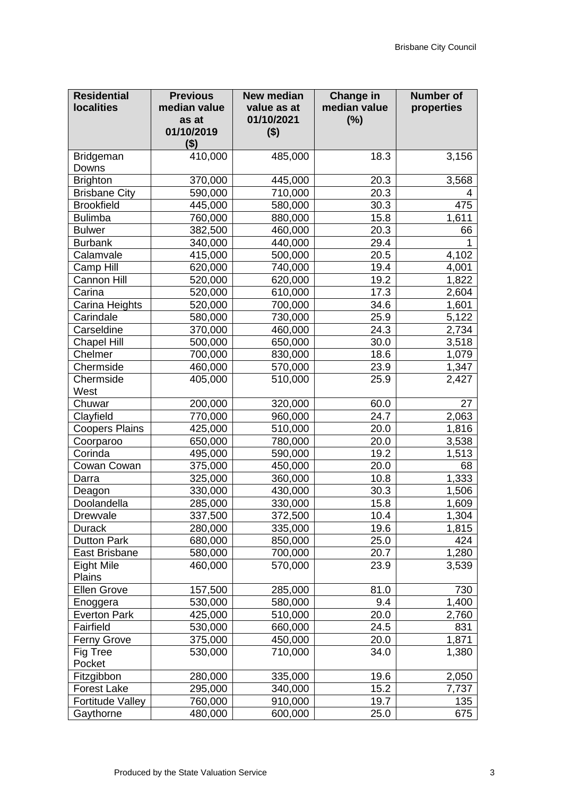| 410,000<br>18.3<br>Bridgeman<br>485,000<br>3,156<br>Downs<br><b>Brighton</b><br>370,000<br>445,000<br>20.3<br>3,568<br><b>Brisbane City</b><br>590,000<br>710,000<br>20.3<br>4<br><b>Brookfield</b><br>445,000<br>580,000<br>30.3<br>475<br>1,611<br><b>Bulimba</b><br>15.8<br>760,000<br>880,000<br>382,500<br>20.3<br><b>Bulwer</b><br>460,000<br>66<br>29.4<br><b>Burbank</b><br>340,000<br>440,000<br>Calamvale<br>20.5<br>4,102<br>415,000<br>500,000<br>Camp Hill<br>19.4<br>4,001<br>620,000<br>740,000<br>19.2<br>1,822<br><b>Cannon Hill</b><br>520,000<br>620,000<br>17.3<br>Carina<br>520,000<br>610,000<br>2,604<br>34.6<br>Carina Heights<br>520,000<br>700,000<br>1,601<br>Carindale<br>5,122<br>580,000<br>730,000<br>25.9<br>24.3<br>2,734<br>Carseldine<br>370,000<br>460,000<br>30.0<br>3,518<br><b>Chapel Hill</b><br>500,000<br>650,000<br>Chelmer<br>700,000<br>18.6<br>830,000<br>1,079<br>460,000<br>23.9<br>1,347<br>Chermside<br>570,000<br>Chermside<br>405,000<br>510,000<br>25.9<br>2,427<br>West<br>200,000<br>Chuwar<br>320,000<br>60.0<br>27<br>24.7<br>Clayfield<br>770,000<br>2,063<br>960,000<br><b>Coopers Plains</b><br>20.0<br>1,816<br>425,000<br>510,000<br>20.0<br>Coorparoo<br>650,000<br>780,000<br>3,538<br>Corinda<br>495,000<br>590,000<br>19.2<br>1,513<br>375,000<br>20.0<br>68<br>Cowan Cowan<br>450,000<br>1,333<br>10.8<br>325,000<br>360,000<br>Darra<br>330,000<br>30.3<br>1,506<br>430,000<br>Deagon<br>Doolandella<br>15.8<br>285,000<br>330,000<br>1,609<br>Drewvale<br>337,500<br>372,500<br>10.4<br>1,304<br>1,815<br>335,000<br>19.6<br><b>Durack</b><br>280,000<br>25.0<br>424<br><b>Dutton Park</b><br>680,000<br>850,000<br>1,280<br>20.7<br>East Brisbane<br>580,000<br>700,000<br>Eight Mile<br>460,000<br>570,000<br>23.9<br>3,539<br>Plains<br><b>Ellen Grove</b><br>157,500<br>81.0<br>285,000<br>730<br>9.4<br>1,400<br>530,000<br>580,000<br>Enoggera<br>20.0<br>2,760<br><b>Everton Park</b><br>425,000<br>510,000<br>Fairfield<br>530,000<br>24.5<br>831<br>660,000<br>375,000<br>450,000<br>1,871<br><b>Ferny Grove</b><br>20.0<br>Fig Tree<br>710,000<br>1,380<br>530,000<br>34.0<br>Pocket<br>280,000<br>Fitzgibbon<br>335,000<br>19.6<br>2,050<br>15.2<br>295,000<br><b>Forest Lake</b><br>340,000<br>7,737<br><b>Fortitude Valley</b><br>135<br>760,000<br>910,000<br>19.7 | <b>Residential</b><br><b>localities</b> | <b>Previous</b><br>median value<br>as at<br>01/10/2019<br>( \$) | <b>New median</b><br>value as at<br>01/10/2021<br>$($ \$) | <b>Change in</b><br>median value<br>(%) | <b>Number of</b><br>properties |
|-------------------------------------------------------------------------------------------------------------------------------------------------------------------------------------------------------------------------------------------------------------------------------------------------------------------------------------------------------------------------------------------------------------------------------------------------------------------------------------------------------------------------------------------------------------------------------------------------------------------------------------------------------------------------------------------------------------------------------------------------------------------------------------------------------------------------------------------------------------------------------------------------------------------------------------------------------------------------------------------------------------------------------------------------------------------------------------------------------------------------------------------------------------------------------------------------------------------------------------------------------------------------------------------------------------------------------------------------------------------------------------------------------------------------------------------------------------------------------------------------------------------------------------------------------------------------------------------------------------------------------------------------------------------------------------------------------------------------------------------------------------------------------------------------------------------------------------------------------------------------------------------------------------------------------------------------------------------------------------------------------------------------------------------------------------------------------------------------------------------------------------------------------------------------------------------------------------------------------------------------------------------------------------------------------------------------------------------------------|-----------------------------------------|-----------------------------------------------------------------|-----------------------------------------------------------|-----------------------------------------|--------------------------------|
|                                                                                                                                                                                                                                                                                                                                                                                                                                                                                                                                                                                                                                                                                                                                                                                                                                                                                                                                                                                                                                                                                                                                                                                                                                                                                                                                                                                                                                                                                                                                                                                                                                                                                                                                                                                                                                                                                                                                                                                                                                                                                                                                                                                                                                                                                                                                                       |                                         |                                                                 |                                                           |                                         |                                |
|                                                                                                                                                                                                                                                                                                                                                                                                                                                                                                                                                                                                                                                                                                                                                                                                                                                                                                                                                                                                                                                                                                                                                                                                                                                                                                                                                                                                                                                                                                                                                                                                                                                                                                                                                                                                                                                                                                                                                                                                                                                                                                                                                                                                                                                                                                                                                       |                                         |                                                                 |                                                           |                                         |                                |
|                                                                                                                                                                                                                                                                                                                                                                                                                                                                                                                                                                                                                                                                                                                                                                                                                                                                                                                                                                                                                                                                                                                                                                                                                                                                                                                                                                                                                                                                                                                                                                                                                                                                                                                                                                                                                                                                                                                                                                                                                                                                                                                                                                                                                                                                                                                                                       |                                         |                                                                 |                                                           |                                         |                                |
|                                                                                                                                                                                                                                                                                                                                                                                                                                                                                                                                                                                                                                                                                                                                                                                                                                                                                                                                                                                                                                                                                                                                                                                                                                                                                                                                                                                                                                                                                                                                                                                                                                                                                                                                                                                                                                                                                                                                                                                                                                                                                                                                                                                                                                                                                                                                                       |                                         |                                                                 |                                                           |                                         |                                |
|                                                                                                                                                                                                                                                                                                                                                                                                                                                                                                                                                                                                                                                                                                                                                                                                                                                                                                                                                                                                                                                                                                                                                                                                                                                                                                                                                                                                                                                                                                                                                                                                                                                                                                                                                                                                                                                                                                                                                                                                                                                                                                                                                                                                                                                                                                                                                       |                                         |                                                                 |                                                           |                                         |                                |
|                                                                                                                                                                                                                                                                                                                                                                                                                                                                                                                                                                                                                                                                                                                                                                                                                                                                                                                                                                                                                                                                                                                                                                                                                                                                                                                                                                                                                                                                                                                                                                                                                                                                                                                                                                                                                                                                                                                                                                                                                                                                                                                                                                                                                                                                                                                                                       |                                         |                                                                 |                                                           |                                         |                                |
|                                                                                                                                                                                                                                                                                                                                                                                                                                                                                                                                                                                                                                                                                                                                                                                                                                                                                                                                                                                                                                                                                                                                                                                                                                                                                                                                                                                                                                                                                                                                                                                                                                                                                                                                                                                                                                                                                                                                                                                                                                                                                                                                                                                                                                                                                                                                                       |                                         |                                                                 |                                                           |                                         |                                |
|                                                                                                                                                                                                                                                                                                                                                                                                                                                                                                                                                                                                                                                                                                                                                                                                                                                                                                                                                                                                                                                                                                                                                                                                                                                                                                                                                                                                                                                                                                                                                                                                                                                                                                                                                                                                                                                                                                                                                                                                                                                                                                                                                                                                                                                                                                                                                       |                                         |                                                                 |                                                           |                                         |                                |
|                                                                                                                                                                                                                                                                                                                                                                                                                                                                                                                                                                                                                                                                                                                                                                                                                                                                                                                                                                                                                                                                                                                                                                                                                                                                                                                                                                                                                                                                                                                                                                                                                                                                                                                                                                                                                                                                                                                                                                                                                                                                                                                                                                                                                                                                                                                                                       |                                         |                                                                 |                                                           |                                         |                                |
|                                                                                                                                                                                                                                                                                                                                                                                                                                                                                                                                                                                                                                                                                                                                                                                                                                                                                                                                                                                                                                                                                                                                                                                                                                                                                                                                                                                                                                                                                                                                                                                                                                                                                                                                                                                                                                                                                                                                                                                                                                                                                                                                                                                                                                                                                                                                                       |                                         |                                                                 |                                                           |                                         |                                |
|                                                                                                                                                                                                                                                                                                                                                                                                                                                                                                                                                                                                                                                                                                                                                                                                                                                                                                                                                                                                                                                                                                                                                                                                                                                                                                                                                                                                                                                                                                                                                                                                                                                                                                                                                                                                                                                                                                                                                                                                                                                                                                                                                                                                                                                                                                                                                       |                                         |                                                                 |                                                           |                                         |                                |
|                                                                                                                                                                                                                                                                                                                                                                                                                                                                                                                                                                                                                                                                                                                                                                                                                                                                                                                                                                                                                                                                                                                                                                                                                                                                                                                                                                                                                                                                                                                                                                                                                                                                                                                                                                                                                                                                                                                                                                                                                                                                                                                                                                                                                                                                                                                                                       |                                         |                                                                 |                                                           |                                         |                                |
|                                                                                                                                                                                                                                                                                                                                                                                                                                                                                                                                                                                                                                                                                                                                                                                                                                                                                                                                                                                                                                                                                                                                                                                                                                                                                                                                                                                                                                                                                                                                                                                                                                                                                                                                                                                                                                                                                                                                                                                                                                                                                                                                                                                                                                                                                                                                                       |                                         |                                                                 |                                                           |                                         |                                |
|                                                                                                                                                                                                                                                                                                                                                                                                                                                                                                                                                                                                                                                                                                                                                                                                                                                                                                                                                                                                                                                                                                                                                                                                                                                                                                                                                                                                                                                                                                                                                                                                                                                                                                                                                                                                                                                                                                                                                                                                                                                                                                                                                                                                                                                                                                                                                       |                                         |                                                                 |                                                           |                                         |                                |
|                                                                                                                                                                                                                                                                                                                                                                                                                                                                                                                                                                                                                                                                                                                                                                                                                                                                                                                                                                                                                                                                                                                                                                                                                                                                                                                                                                                                                                                                                                                                                                                                                                                                                                                                                                                                                                                                                                                                                                                                                                                                                                                                                                                                                                                                                                                                                       |                                         |                                                                 |                                                           |                                         |                                |
|                                                                                                                                                                                                                                                                                                                                                                                                                                                                                                                                                                                                                                                                                                                                                                                                                                                                                                                                                                                                                                                                                                                                                                                                                                                                                                                                                                                                                                                                                                                                                                                                                                                                                                                                                                                                                                                                                                                                                                                                                                                                                                                                                                                                                                                                                                                                                       |                                         |                                                                 |                                                           |                                         |                                |
|                                                                                                                                                                                                                                                                                                                                                                                                                                                                                                                                                                                                                                                                                                                                                                                                                                                                                                                                                                                                                                                                                                                                                                                                                                                                                                                                                                                                                                                                                                                                                                                                                                                                                                                                                                                                                                                                                                                                                                                                                                                                                                                                                                                                                                                                                                                                                       |                                         |                                                                 |                                                           |                                         |                                |
|                                                                                                                                                                                                                                                                                                                                                                                                                                                                                                                                                                                                                                                                                                                                                                                                                                                                                                                                                                                                                                                                                                                                                                                                                                                                                                                                                                                                                                                                                                                                                                                                                                                                                                                                                                                                                                                                                                                                                                                                                                                                                                                                                                                                                                                                                                                                                       |                                         |                                                                 |                                                           |                                         |                                |
|                                                                                                                                                                                                                                                                                                                                                                                                                                                                                                                                                                                                                                                                                                                                                                                                                                                                                                                                                                                                                                                                                                                                                                                                                                                                                                                                                                                                                                                                                                                                                                                                                                                                                                                                                                                                                                                                                                                                                                                                                                                                                                                                                                                                                                                                                                                                                       |                                         |                                                                 |                                                           |                                         |                                |
|                                                                                                                                                                                                                                                                                                                                                                                                                                                                                                                                                                                                                                                                                                                                                                                                                                                                                                                                                                                                                                                                                                                                                                                                                                                                                                                                                                                                                                                                                                                                                                                                                                                                                                                                                                                                                                                                                                                                                                                                                                                                                                                                                                                                                                                                                                                                                       |                                         |                                                                 |                                                           |                                         |                                |
|                                                                                                                                                                                                                                                                                                                                                                                                                                                                                                                                                                                                                                                                                                                                                                                                                                                                                                                                                                                                                                                                                                                                                                                                                                                                                                                                                                                                                                                                                                                                                                                                                                                                                                                                                                                                                                                                                                                                                                                                                                                                                                                                                                                                                                                                                                                                                       |                                         |                                                                 |                                                           |                                         |                                |
|                                                                                                                                                                                                                                                                                                                                                                                                                                                                                                                                                                                                                                                                                                                                                                                                                                                                                                                                                                                                                                                                                                                                                                                                                                                                                                                                                                                                                                                                                                                                                                                                                                                                                                                                                                                                                                                                                                                                                                                                                                                                                                                                                                                                                                                                                                                                                       |                                         |                                                                 |                                                           |                                         |                                |
|                                                                                                                                                                                                                                                                                                                                                                                                                                                                                                                                                                                                                                                                                                                                                                                                                                                                                                                                                                                                                                                                                                                                                                                                                                                                                                                                                                                                                                                                                                                                                                                                                                                                                                                                                                                                                                                                                                                                                                                                                                                                                                                                                                                                                                                                                                                                                       |                                         |                                                                 |                                                           |                                         |                                |
|                                                                                                                                                                                                                                                                                                                                                                                                                                                                                                                                                                                                                                                                                                                                                                                                                                                                                                                                                                                                                                                                                                                                                                                                                                                                                                                                                                                                                                                                                                                                                                                                                                                                                                                                                                                                                                                                                                                                                                                                                                                                                                                                                                                                                                                                                                                                                       |                                         |                                                                 |                                                           |                                         |                                |
|                                                                                                                                                                                                                                                                                                                                                                                                                                                                                                                                                                                                                                                                                                                                                                                                                                                                                                                                                                                                                                                                                                                                                                                                                                                                                                                                                                                                                                                                                                                                                                                                                                                                                                                                                                                                                                                                                                                                                                                                                                                                                                                                                                                                                                                                                                                                                       |                                         |                                                                 |                                                           |                                         |                                |
|                                                                                                                                                                                                                                                                                                                                                                                                                                                                                                                                                                                                                                                                                                                                                                                                                                                                                                                                                                                                                                                                                                                                                                                                                                                                                                                                                                                                                                                                                                                                                                                                                                                                                                                                                                                                                                                                                                                                                                                                                                                                                                                                                                                                                                                                                                                                                       |                                         |                                                                 |                                                           |                                         |                                |
|                                                                                                                                                                                                                                                                                                                                                                                                                                                                                                                                                                                                                                                                                                                                                                                                                                                                                                                                                                                                                                                                                                                                                                                                                                                                                                                                                                                                                                                                                                                                                                                                                                                                                                                                                                                                                                                                                                                                                                                                                                                                                                                                                                                                                                                                                                                                                       |                                         |                                                                 |                                                           |                                         |                                |
|                                                                                                                                                                                                                                                                                                                                                                                                                                                                                                                                                                                                                                                                                                                                                                                                                                                                                                                                                                                                                                                                                                                                                                                                                                                                                                                                                                                                                                                                                                                                                                                                                                                                                                                                                                                                                                                                                                                                                                                                                                                                                                                                                                                                                                                                                                                                                       |                                         |                                                                 |                                                           |                                         |                                |
|                                                                                                                                                                                                                                                                                                                                                                                                                                                                                                                                                                                                                                                                                                                                                                                                                                                                                                                                                                                                                                                                                                                                                                                                                                                                                                                                                                                                                                                                                                                                                                                                                                                                                                                                                                                                                                                                                                                                                                                                                                                                                                                                                                                                                                                                                                                                                       |                                         |                                                                 |                                                           |                                         |                                |
|                                                                                                                                                                                                                                                                                                                                                                                                                                                                                                                                                                                                                                                                                                                                                                                                                                                                                                                                                                                                                                                                                                                                                                                                                                                                                                                                                                                                                                                                                                                                                                                                                                                                                                                                                                                                                                                                                                                                                                                                                                                                                                                                                                                                                                                                                                                                                       |                                         |                                                                 |                                                           |                                         |                                |
|                                                                                                                                                                                                                                                                                                                                                                                                                                                                                                                                                                                                                                                                                                                                                                                                                                                                                                                                                                                                                                                                                                                                                                                                                                                                                                                                                                                                                                                                                                                                                                                                                                                                                                                                                                                                                                                                                                                                                                                                                                                                                                                                                                                                                                                                                                                                                       |                                         |                                                                 |                                                           |                                         |                                |
|                                                                                                                                                                                                                                                                                                                                                                                                                                                                                                                                                                                                                                                                                                                                                                                                                                                                                                                                                                                                                                                                                                                                                                                                                                                                                                                                                                                                                                                                                                                                                                                                                                                                                                                                                                                                                                                                                                                                                                                                                                                                                                                                                                                                                                                                                                                                                       |                                         |                                                                 |                                                           |                                         |                                |
|                                                                                                                                                                                                                                                                                                                                                                                                                                                                                                                                                                                                                                                                                                                                                                                                                                                                                                                                                                                                                                                                                                                                                                                                                                                                                                                                                                                                                                                                                                                                                                                                                                                                                                                                                                                                                                                                                                                                                                                                                                                                                                                                                                                                                                                                                                                                                       |                                         |                                                                 |                                                           |                                         |                                |
|                                                                                                                                                                                                                                                                                                                                                                                                                                                                                                                                                                                                                                                                                                                                                                                                                                                                                                                                                                                                                                                                                                                                                                                                                                                                                                                                                                                                                                                                                                                                                                                                                                                                                                                                                                                                                                                                                                                                                                                                                                                                                                                                                                                                                                                                                                                                                       |                                         |                                                                 |                                                           |                                         |                                |
|                                                                                                                                                                                                                                                                                                                                                                                                                                                                                                                                                                                                                                                                                                                                                                                                                                                                                                                                                                                                                                                                                                                                                                                                                                                                                                                                                                                                                                                                                                                                                                                                                                                                                                                                                                                                                                                                                                                                                                                                                                                                                                                                                                                                                                                                                                                                                       |                                         |                                                                 |                                                           |                                         |                                |
|                                                                                                                                                                                                                                                                                                                                                                                                                                                                                                                                                                                                                                                                                                                                                                                                                                                                                                                                                                                                                                                                                                                                                                                                                                                                                                                                                                                                                                                                                                                                                                                                                                                                                                                                                                                                                                                                                                                                                                                                                                                                                                                                                                                                                                                                                                                                                       |                                         |                                                                 |                                                           |                                         |                                |
|                                                                                                                                                                                                                                                                                                                                                                                                                                                                                                                                                                                                                                                                                                                                                                                                                                                                                                                                                                                                                                                                                                                                                                                                                                                                                                                                                                                                                                                                                                                                                                                                                                                                                                                                                                                                                                                                                                                                                                                                                                                                                                                                                                                                                                                                                                                                                       |                                         |                                                                 |                                                           |                                         |                                |
|                                                                                                                                                                                                                                                                                                                                                                                                                                                                                                                                                                                                                                                                                                                                                                                                                                                                                                                                                                                                                                                                                                                                                                                                                                                                                                                                                                                                                                                                                                                                                                                                                                                                                                                                                                                                                                                                                                                                                                                                                                                                                                                                                                                                                                                                                                                                                       |                                         |                                                                 |                                                           |                                         |                                |
|                                                                                                                                                                                                                                                                                                                                                                                                                                                                                                                                                                                                                                                                                                                                                                                                                                                                                                                                                                                                                                                                                                                                                                                                                                                                                                                                                                                                                                                                                                                                                                                                                                                                                                                                                                                                                                                                                                                                                                                                                                                                                                                                                                                                                                                                                                                                                       |                                         |                                                                 |                                                           |                                         |                                |
|                                                                                                                                                                                                                                                                                                                                                                                                                                                                                                                                                                                                                                                                                                                                                                                                                                                                                                                                                                                                                                                                                                                                                                                                                                                                                                                                                                                                                                                                                                                                                                                                                                                                                                                                                                                                                                                                                                                                                                                                                                                                                                                                                                                                                                                                                                                                                       |                                         |                                                                 |                                                           |                                         |                                |
|                                                                                                                                                                                                                                                                                                                                                                                                                                                                                                                                                                                                                                                                                                                                                                                                                                                                                                                                                                                                                                                                                                                                                                                                                                                                                                                                                                                                                                                                                                                                                                                                                                                                                                                                                                                                                                                                                                                                                                                                                                                                                                                                                                                                                                                                                                                                                       |                                         |                                                                 |                                                           |                                         |                                |
|                                                                                                                                                                                                                                                                                                                                                                                                                                                                                                                                                                                                                                                                                                                                                                                                                                                                                                                                                                                                                                                                                                                                                                                                                                                                                                                                                                                                                                                                                                                                                                                                                                                                                                                                                                                                                                                                                                                                                                                                                                                                                                                                                                                                                                                                                                                                                       |                                         |                                                                 |                                                           |                                         |                                |
|                                                                                                                                                                                                                                                                                                                                                                                                                                                                                                                                                                                                                                                                                                                                                                                                                                                                                                                                                                                                                                                                                                                                                                                                                                                                                                                                                                                                                                                                                                                                                                                                                                                                                                                                                                                                                                                                                                                                                                                                                                                                                                                                                                                                                                                                                                                                                       |                                         |                                                                 |                                                           |                                         |                                |
|                                                                                                                                                                                                                                                                                                                                                                                                                                                                                                                                                                                                                                                                                                                                                                                                                                                                                                                                                                                                                                                                                                                                                                                                                                                                                                                                                                                                                                                                                                                                                                                                                                                                                                                                                                                                                                                                                                                                                                                                                                                                                                                                                                                                                                                                                                                                                       |                                         |                                                                 |                                                           |                                         |                                |
|                                                                                                                                                                                                                                                                                                                                                                                                                                                                                                                                                                                                                                                                                                                                                                                                                                                                                                                                                                                                                                                                                                                                                                                                                                                                                                                                                                                                                                                                                                                                                                                                                                                                                                                                                                                                                                                                                                                                                                                                                                                                                                                                                                                                                                                                                                                                                       | Gaythorne                               | 480,000                                                         | 600,000                                                   | 25.0                                    | 675                            |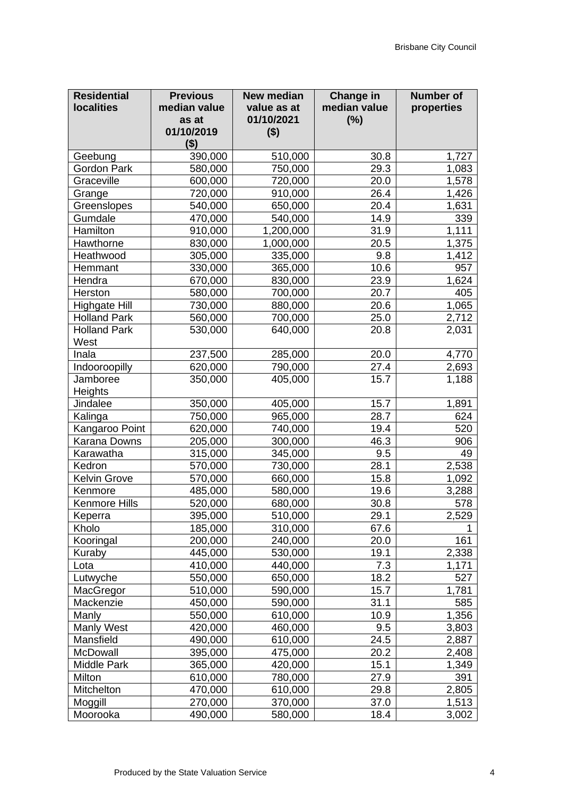| <b>Residential</b><br><b>localities</b> | <b>Previous</b><br>median value<br>as at | <b>New median</b><br>value as at<br>01/10/2021 | Change in<br>median value<br>(%) | <b>Number of</b><br>properties |
|-----------------------------------------|------------------------------------------|------------------------------------------------|----------------------------------|--------------------------------|
|                                         | 01/10/2019<br>( \$)                      | $($ \$)                                        |                                  |                                |
| Geebung                                 | 390,000                                  | 510,000                                        | 30.8                             | 1,727                          |
| Gordon Park                             | 580,000                                  | 750,000                                        | 29.3                             | 1,083                          |
| Graceville                              | 600,000                                  | 720,000                                        | 20.0                             | 1,578                          |
| Grange                                  | 720,000                                  | 910,000                                        | 26.4                             | 1,426                          |
| Greenslopes                             | 540,000                                  | 650,000                                        | 20.4                             | 1,631                          |
| Gumdale                                 | 470,000                                  | 540,000                                        | 14.9                             | 339                            |
| Hamilton                                | 910,000                                  | 1,200,000                                      | 31.9                             | 1,111                          |
| Hawthorne                               | 830,000                                  | 1,000,000                                      | 20.5                             | 1,375                          |
| Heathwood                               | 305,000                                  | 335,000                                        | 9.8                              | 1,412                          |
| Hemmant                                 | 330,000                                  | 365,000                                        | 10.6                             | 957                            |
| Hendra                                  | 670,000                                  | 830,000                                        | 23.9                             | 1,624                          |
| Herston                                 | 580,000                                  | 700,000                                        | 20.7                             | 405                            |
| <b>Highgate Hill</b>                    | 730,000                                  | 880,000                                        | 20.6                             | 1,065                          |
| <b>Holland Park</b>                     | 560,000                                  | 700,000                                        | 25.0                             | 2,712                          |
| <b>Holland Park</b><br>West             | 530,000                                  | 640,000                                        | 20.8                             | 2,031                          |
| Inala                                   | 237,500                                  | 285,000                                        | 20.0                             | 4,770                          |
| Indooroopilly                           | 620,000                                  | 790,000                                        | 27.4                             | 2,693                          |
| Jamboree                                | 350,000                                  | 405,000                                        | 15.7                             | 1,188                          |
| Heights                                 |                                          |                                                |                                  |                                |
| Jindalee                                | 350,000                                  | 405,000                                        | 15.7                             | 1,891                          |
| Kalinga                                 | 750,000                                  | 965,000                                        | 28.7                             | 624                            |
| Kangaroo Point                          | 620,000                                  | 740,000                                        | 19.4                             | 520                            |
| Karana Downs                            | 205,000                                  | 300,000                                        | 46.3                             | 906                            |
| Karawatha                               | 315,000                                  | 345,000                                        | 9.5                              | 49                             |
| Kedron                                  | 570,000                                  | 730,000                                        | 28.1                             | 2,538                          |
| <b>Kelvin Grove</b>                     | 570,000                                  | 660,000                                        | 15.8                             | 1,092                          |
| Kenmore                                 | 485,000                                  | 580,000                                        | 19.6                             | 3,288                          |
| Kenmore Hills                           | 520,000                                  | 680,000                                        | 30.8                             | 578                            |
| Keperra                                 | 395,000                                  | 510,000                                        | 29.1                             | 2,529                          |
| Kholo                                   | 185,000                                  | 310,000                                        | 67.6                             |                                |
| Kooringal                               | 200,000                                  | 240,000                                        | 20.0                             | 161                            |
| Kuraby                                  | 445,000                                  | 530,000                                        | 19.1                             | 2,338                          |
| Lota                                    | 410,000                                  | 440,000                                        | 7.3                              | 1,171                          |
| Lutwyche                                | 550,000                                  | 650,000                                        | 18.2                             | 527                            |
| MacGregor                               | 510,000                                  | 590,000                                        | 15.7                             | 1,781                          |
| Mackenzie                               | 450,000                                  | 590,000                                        | 31.1                             | 585                            |
| Manly                                   | 550,000                                  | 610,000                                        | 10.9                             | 1,356                          |
| Manly West                              | 420,000                                  | 460,000                                        | 9.5                              | 3,803                          |
| Mansfield                               | 490,000                                  | 610,000                                        | 24.5                             | 2,887                          |
| McDowall                                | 395,000                                  | 475,000                                        | 20.2                             | 2,408                          |
| Middle Park                             | 365,000                                  | 420,000                                        | 15.1                             | 1,349                          |
| Milton                                  | 610,000                                  | 780,000                                        | 27.9                             | 391                            |
| Mitchelton                              | 470,000                                  | 610,000                                        | 29.8                             | 2,805                          |
| Moggill                                 | 270,000                                  | 370,000                                        | 37.0                             | 1,513                          |
| Moorooka                                | 490,000                                  | 580,000                                        | 18.4                             | 3,002                          |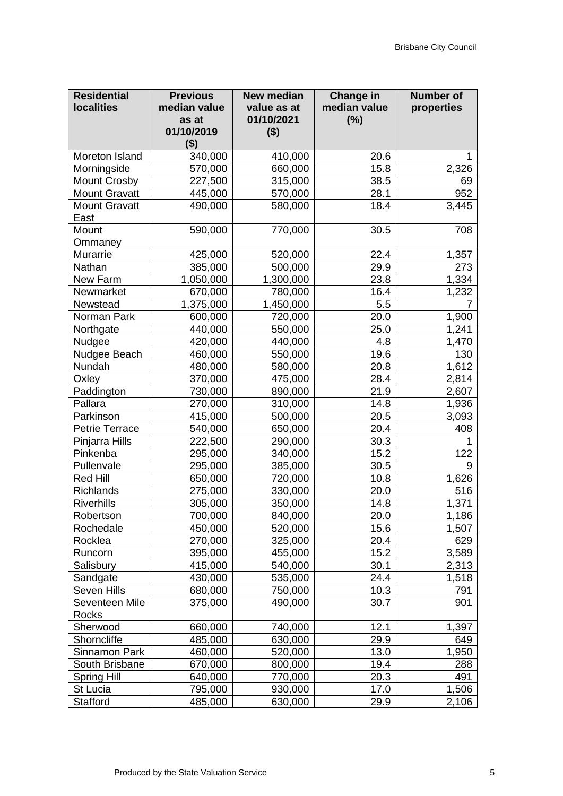| <b>Residential</b><br><b>localities</b> | <b>Previous</b><br>median value<br>as at<br>01/10/2019<br>( \$) | <b>New median</b><br>value as at<br>01/10/2021<br>$($ \$) | Change in<br>median value<br>(%) | <b>Number</b> of<br>properties |
|-----------------------------------------|-----------------------------------------------------------------|-----------------------------------------------------------|----------------------------------|--------------------------------|
| Moreton Island                          | 340,000                                                         | 410,000                                                   | 20.6                             |                                |
| Morningside                             | 570,000                                                         | 660,000                                                   | 15.8                             | 2,326                          |
| <b>Mount Crosby</b>                     | 227,500                                                         | 315,000                                                   | 38.5                             | 69                             |
| <b>Mount Gravatt</b>                    | 445,000                                                         | 570,000                                                   | 28.1                             | 952                            |
| <b>Mount Gravatt</b>                    | 490,000                                                         | 580,000                                                   | 18.4                             | 3,445                          |
| East                                    |                                                                 |                                                           |                                  |                                |
| Mount                                   | 590,000                                                         | 770,000                                                   | 30.5                             | 708                            |
| Ommaney                                 |                                                                 |                                                           |                                  |                                |
| Murarrie                                | 425,000                                                         | 520,000                                                   | 22.4                             | 1,357                          |
| Nathan                                  | 385,000                                                         | 500,000                                                   | 29.9                             | 273                            |
| New Farm                                | 1,050,000                                                       | 1,300,000                                                 | 23.8                             | 1,334                          |
| Newmarket                               | 670,000                                                         | 780,000                                                   | 16.4                             | 1,232                          |
| Newstead                                | 1,375,000                                                       | 1,450,000                                                 | 5.5                              |                                |
| Norman Park                             | 600,000                                                         | 720,000                                                   | 20.0                             | 1,900                          |
| Northgate                               | 440,000                                                         | 550,000                                                   | 25.0                             | 1,241                          |
| Nudgee                                  | 420,000                                                         | 440,000                                                   | 4.8                              | 1,470                          |
| Nudgee Beach                            | 460,000                                                         | 550,000                                                   | 19.6                             | 130                            |
| Nundah                                  | 480,000                                                         | 580,000                                                   | 20.8                             | 1,612                          |
| Oxley                                   | 370,000                                                         | 475,000                                                   | 28.4                             | 2,814                          |
| Paddington                              | 730,000                                                         | 890,000                                                   | 21.9                             | 2,607                          |
| Pallara                                 | 270,000                                                         | 310,000                                                   | 14.8                             | 1,936                          |
| Parkinson                               | 415,000                                                         | 500,000                                                   | 20.5                             | 3,093                          |
| <b>Petrie Terrace</b>                   | 540,000                                                         | 650,000                                                   | 20.4                             | 408                            |
| Pinjarra Hills                          | 222,500                                                         | 290,000                                                   | 30.3                             |                                |
| Pinkenba                                | 295,000                                                         | 340,000                                                   | 15.2                             | 122                            |
| Pullenvale                              | 295,000                                                         | 385,000                                                   | 30.5                             | 9                              |
| <b>Red Hill</b>                         | 650,000                                                         | 720,000                                                   | 10.8                             | 1,626                          |
| <b>Richlands</b>                        | 275,000                                                         | 330,000                                                   | 20.0                             | 516                            |
| <b>Riverhills</b>                       | 305,000                                                         | 350,000                                                   | 14.8                             | 1,371                          |
| Robertson                               | 700,000                                                         | 840,000                                                   | 20.0                             | 1,186                          |
| Rochedale                               | 450,000                                                         | 520,000                                                   | 15.6                             | 1,507                          |
| Rocklea                                 | 270,000                                                         | 325,000                                                   | 20.4                             | 629                            |
| Runcorn                                 | 395,000                                                         | 455,000                                                   | 15.2                             | 3,589                          |
| Salisbury                               | 415,000                                                         | 540,000                                                   | 30.1                             | 2,313                          |
| Sandgate                                | 430,000                                                         | 535,000                                                   | 24.4                             | 1,518                          |
| Seven Hills                             | 680,000                                                         | 750,000                                                   | 10.3                             | 791                            |
| Seventeen Mile                          | 375,000                                                         | 490,000                                                   | 30.7                             | 901                            |
| Rocks                                   |                                                                 |                                                           |                                  |                                |
| Sherwood                                | 660,000                                                         | 740,000                                                   | 12.1                             | 1,397                          |
| Shorncliffe                             | 485,000                                                         | 630,000                                                   | 29.9                             | 649                            |
| Sinnamon Park                           | 460,000                                                         | 520,000                                                   | 13.0                             | 1,950                          |
| South Brisbane                          | 670,000                                                         | 800,000                                                   | 19.4                             | 288                            |
| <b>Spring Hill</b>                      | 640,000                                                         | 770,000                                                   | 20.3                             | 491                            |
| St Lucia                                | 795,000                                                         | 930,000                                                   | 17.0                             | 1,506                          |
| <b>Stafford</b>                         | 485,000                                                         | 630,000                                                   | 29.9                             | 2,106                          |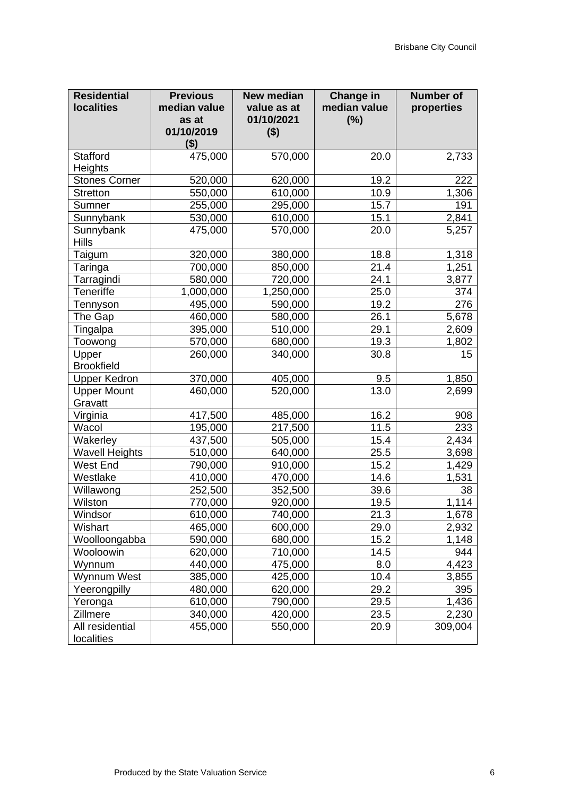| <b>Residential</b><br><b>localities</b> | <b>Previous</b><br>median value<br>as at<br>01/10/2019 | <b>New median</b><br>value as at<br>01/10/2021<br>$($ \$) | <b>Change in</b><br>median value<br>(%) | <b>Number of</b><br>properties |
|-----------------------------------------|--------------------------------------------------------|-----------------------------------------------------------|-----------------------------------------|--------------------------------|
|                                         | ( \$)                                                  |                                                           |                                         |                                |
| <b>Stafford</b>                         | 475,000                                                | 570,000                                                   | 20.0                                    | 2,733                          |
| Heights                                 |                                                        |                                                           |                                         |                                |
| <b>Stones Corner</b>                    | 520,000                                                | 620,000                                                   | 19.2                                    | 222                            |
| <b>Stretton</b>                         | 550,000                                                | 610,000                                                   | 10.9                                    | 1,306                          |
| Sumner                                  | 255,000                                                | 295,000                                                   | 15.7                                    | 191                            |
| Sunnybank                               | 530,000                                                | 610,000                                                   | 15.1                                    | 2,841                          |
| Sunnybank<br><b>Hills</b>               | 475,000                                                | 570,000                                                   | 20.0                                    | 5,257                          |
| Taigum                                  | 320,000                                                | 380,000                                                   | 18.8                                    | 1,318                          |
| Taringa                                 | 700,000                                                | 850,000                                                   | 21.4                                    | 1,251                          |
| Tarragindi                              | 580,000                                                | 720,000                                                   | 24.1                                    | 3,877                          |
| <b>Teneriffe</b>                        | 1,000,000                                              | 1,250,000                                                 | 25.0                                    | 374                            |
| Tennyson                                | 495,000                                                | 590,000                                                   | 19.2                                    | 276                            |
| The Gap                                 | 460,000                                                | 580,000                                                   | 26.1                                    | 5,678                          |
| Tingalpa                                | 395,000                                                | 510,000                                                   | 29.1                                    | 2,609                          |
| Toowong                                 | 570,000                                                | 680,000                                                   | 19.3                                    | 1,802                          |
| Upper<br><b>Brookfield</b>              | 260,000                                                | 340,000                                                   | 30.8                                    | 15                             |
| <b>Upper Kedron</b>                     | 370,000                                                | 405,000                                                   | 9.5                                     | 1,850                          |
| <b>Upper Mount</b><br>Gravatt           | 460,000                                                | 520,000                                                   | 13.0                                    | 2,699                          |
| Virginia                                | 417,500                                                | 485,000                                                   | 16.2                                    | 908                            |
| Wacol                                   | 195,000                                                | 217,500                                                   | 11.5                                    | 233                            |
| Wakerley                                | 437,500                                                | 505,000                                                   | 15.4                                    | 2,434                          |
| <b>Wavell Heights</b>                   | 510,000                                                | 640,000                                                   | 25.5                                    | 3,698                          |
| West End                                | 790,000                                                | 910,000                                                   | 15.2                                    | 1,429                          |
| Westlake                                | 410,000                                                | 470,000                                                   | 14.6                                    | 1,531                          |
| Willawong                               | 252,500                                                | 352,500                                                   | 39.6                                    | 38                             |
| Wilston                                 | 770,000                                                | 920,000                                                   | 19.5                                    | 1,114                          |
| Windsor                                 | 610,000                                                | 740,000                                                   | 21.3                                    | 1,678                          |
| Wishart                                 | 465,000                                                | 600,000                                                   | 29.0                                    | 2,932                          |
| Woolloongabba                           | 590,000                                                | 680,000                                                   | 15.2                                    | 1,148                          |
| Wooloowin                               | 620,000                                                | 710,000                                                   | 14.5                                    | 944                            |
| Wynnum                                  | 440,000                                                | 475,000                                                   | 8.0                                     | 4,423                          |
| Wynnum West                             | 385,000                                                | 425,000                                                   | 10.4                                    | 3,855                          |
| Yeerongpilly                            | 480,000                                                | 620,000                                                   | 29.2                                    | 395                            |
| Yeronga                                 | 610,000                                                | 790,000                                                   | 29.5                                    | 1,436                          |
| Zillmere                                | 340,000                                                | 420,000                                                   | 23.5                                    | 2,230                          |
| All residential<br>localities           | 455,000                                                | 550,000                                                   | 20.9                                    | 309,004                        |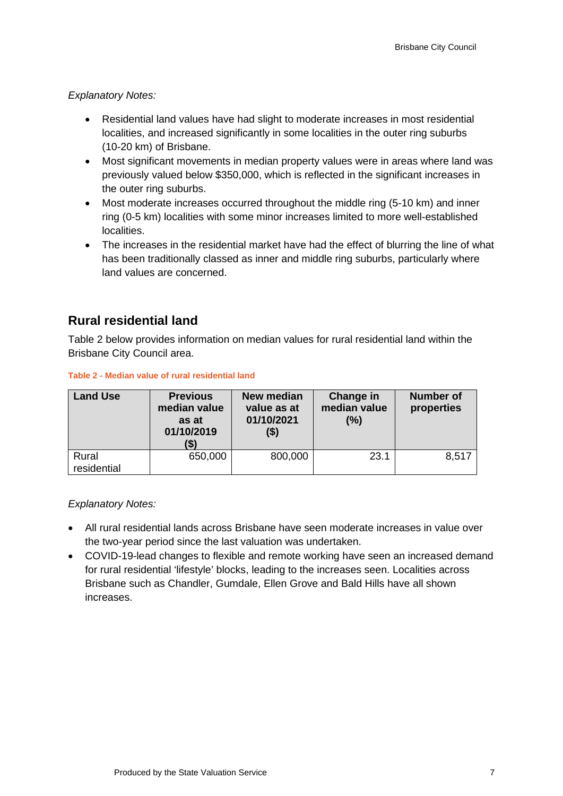#### *Explanatory Notes:*

- Residential land values have had slight to moderate increases in most residential localities, and increased significantly in some localities in the outer ring suburbs (10-20 km) of Brisbane.
- Most significant movements in median property values were in areas where land was previously valued below \$350,000, which is reflected in the significant increases in the outer ring suburbs.
- Most moderate increases occurred throughout the middle ring (5-10 km) and inner ring (0-5 km) localities with some minor increases limited to more well-established localities.
- The increases in the residential market have had the effect of blurring the line of what has been traditionally classed as inner and middle ring suburbs, particularly where land values are concerned.

### **Rural residential land**

Table 2 below provides information on median values for rural residential land within the Brisbane City Council area.

| <b>Land Use</b>      | <b>Previous</b><br>median value<br>as at<br>01/10/2019<br>(\$) | New median<br>value as at<br>01/10/2021<br>(\$) | Change in<br>median value<br>(%) | <b>Number of</b><br>properties |
|----------------------|----------------------------------------------------------------|-------------------------------------------------|----------------------------------|--------------------------------|
| Rural<br>residential | 650,000                                                        | 800,000                                         | 23.1                             | 8,517                          |

#### **Table 2 - Median value of rural residential land**

#### *Explanatory Notes:*

- All rural residential lands across Brisbane have seen moderate increases in value over the two-year period since the last valuation was undertaken.
- COVID-19-lead changes to flexible and remote working have seen an increased demand for rural residential 'lifestyle' blocks, leading to the increases seen. Localities across Brisbane such as Chandler, Gumdale, Ellen Grove and Bald Hills have all shown increases.